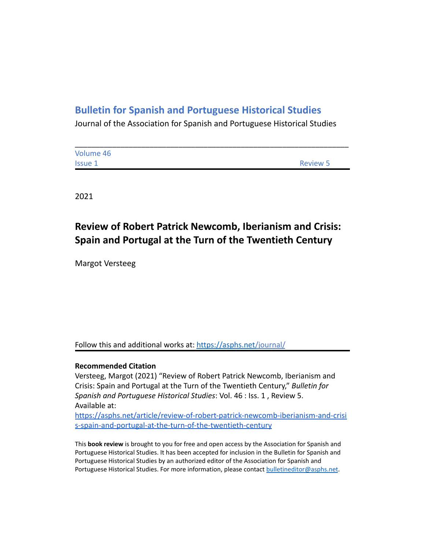## **Bulletin for Spanish and Portuguese Historical Studies**

Journal of the Association for Spanish and Portuguese Historical Studies

| Volume 46 |                 |
|-----------|-----------------|
| Issue 1   | <b>Review 5</b> |

2021

## **Review of Robert Patrick Newcomb, Iberianism and Crisis: Spain and Portugal at the Turn of the Twentieth Century**

Margot Versteeg

Follow this and additional works at: <https://asphs.net/journal/>

## **Recommended Citation**

Versteeg, Margot (2021) "Review of Robert Patrick Newcomb, Iberianism and Crisis: Spain and Portugal at the Turn of the Twentieth Century," *Bulletin for Spanish and Portuguese Historical Studies*: Vol. 46 : Iss. 1 , Review 5. Available at:

[https://asphs.net/article/review-of-robert-patrick-newcomb-iberianism-and-crisi](https://asphs.net/article/review-of-robert-patrick-newcomb-iberianism-and-crisis-spain-and-portugal-at-the-turn-of-the-twentieth-century) [s-spain-and-portugal-at-the-turn-of-the-twentieth-century](https://asphs.net/article/review-of-robert-patrick-newcomb-iberianism-and-crisis-spain-and-portugal-at-the-turn-of-the-twentieth-century)

This **book review** is brought to you for free and open access by the Association for Spanish and Portuguese Historical Studies. It has been accepted for inclusion in the Bulletin for Spanish and Portuguese Historical Studies by an authorized editor of the Association for Spanish and Portuguese Historical Studies. For more information, please contact [bulletineditor@asphs.net](mailto:bulletineditor@asphs.net).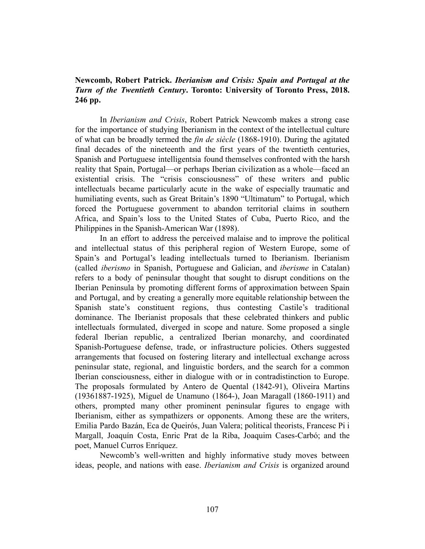## **Newcomb, Robert Patrick.** *Iberianism and Crisis: Spain and Portugal at the Turn of the Twentieth Century***. Toronto: University of Toronto Press, 2018. 246 pp.**

In *Iberianism and Crisis*, Robert Patrick Newcomb makes a strong case for the importance of studying Iberianism in the context of the intellectual culture of what can be broadly termed the *fin de siècle* (1868-1910). During the agitated final decades of the nineteenth and the first years of the twentieth centuries, Spanish and Portuguese intelligentsia found themselves confronted with the harsh reality that Spain, Portugal—or perhaps Iberian civilization as a whole—faced an existential crisis. The "crisis consciousness" of these writers and public intellectuals became particularly acute in the wake of especially traumatic and humiliating events, such as Great Britain's 1890 "Ultimatum" to Portugal, which forced the Portuguese government to abandon territorial claims in southern Africa, and Spain's loss to the United States of Cuba, Puerto Rico, and the Philippines in the Spanish-American War (1898).

In an effort to address the perceived malaise and to improve the political and intellectual status of this peripheral region of Western Europe, some of Spain's and Portugal's leading intellectuals turned to Iberianism. Iberianism (called *iberismo* in Spanish, Portuguese and Galician, and *iberisme* in Catalan) refers to a body of peninsular thought that sought to disrupt conditions on the Iberian Peninsula by promoting different forms of approximation between Spain and Portugal, and by creating a generally more equitable relationship between the Spanish state's constituent regions, thus contesting Castile's traditional dominance. The Iberianist proposals that these celebrated thinkers and public intellectuals formulated, diverged in scope and nature. Some proposed a single federal Iberian republic, a centralized Iberian monarchy, and coordinated Spanish-Portuguese defense, trade, or infrastructure policies. Others suggested arrangements that focused on fostering literary and intellectual exchange across peninsular state, regional, and linguistic borders, and the search for a common Iberian consciousness, either in dialogue with or in contradistinction to Europe. The proposals formulated by Antero de Quental (1842-91), Oliveira Martins (19361887-1925), Miguel de Unamuno (1864-), Joan Maragall (1860-1911) and others, prompted many other prominent peninsular figures to engage with Iberianism, either as sympathizers or opponents. Among these are the writers, Emilia Pardo Bazán, Eca de Queirós, Juan Valera; political theorists, Francesc Pi i Margall, Joaquín Costa, Enric Prat de la Riba, Joaquim Cases-Carbó; and the poet, Manuel Curros Enríquez.

Newcomb's well-written and highly informative study moves between ideas, people, and nations with ease. *Iberianism and Crisis* is organized around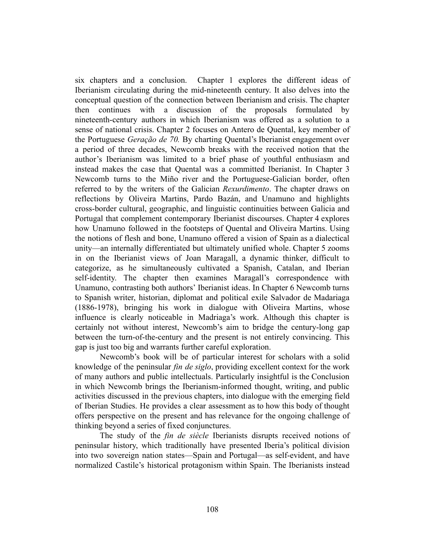six chapters and a conclusion. Chapter 1 explores the different ideas of Iberianism circulating during the mid-nineteenth century. It also delves into the conceptual question of the connection between Iberianism and crisis. The chapter then continues with a discussion of the proposals formulated by nineteenth-century authors in which Iberianism was offered as a solution to a sense of national crisis. Chapter 2 focuses on Antero de Quental, key member of the Portuguese *Geração de 70.* By charting Quental's Iberianist engagement over a period of three decades, Newcomb breaks with the received notion that the author's Iberianism was limited to a brief phase of youthful enthusiasm and instead makes the case that Quental was a committed Iberianist. In Chapter 3 Newcomb turns to the Miño river and the Portuguese-Galician border, often referred to by the writers of the Galician *Rexurdimento*. The chapter draws on reflections by Oliveira Martins, Pardo Bazán, and Unamuno and highlights cross-border cultural, geographic, and linguistic continuities between Galicia and Portugal that complement contemporary Iberianist discourses. Chapter 4 explores how Unamuno followed in the footsteps of Quental and Oliveira Martins. Using the notions of flesh and bone, Unamuno offered a vision of Spain as a dialectical unity—an internally differentiated but ultimately unified whole. Chapter 5 zooms in on the Iberianist views of Joan Maragall, a dynamic thinker, difficult to categorize, as he simultaneously cultivated a Spanish, Catalan, and Iberian self-identity. The chapter then examines Maragall's correspondence with Unamuno, contrasting both authors' Iberianist ideas. In Chapter 6 Newcomb turns to Spanish writer, historian, diplomat and political exile Salvador de Madariaga (1886-1978), bringing his work in dialogue with Oliveira Martins, whose influence is clearly noticeable in Madriaga's work. Although this chapter is certainly not without interest, Newcomb's aim to bridge the century-long gap between the turn-of-the-century and the present is not entirely convincing. This gap is just too big and warrants further careful exploration.

Newcomb's book will be of particular interest for scholars with a solid knowledge of the peninsular *fin de siglo*, providing excellent context for the work of many authors and public intellectuals. Particularly insightful is the Conclusion in which Newcomb brings the Iberianism-informed thought, writing, and public activities discussed in the previous chapters, into dialogue with the emerging field of Iberian Studies. He provides a clear assessment as to how this body of thought offers perspective on the present and has relevance for the ongoing challenge of thinking beyond a series of fixed conjunctures.

The study of the *fin de siècle* Iberianists disrupts received notions of peninsular history, which traditionally have presented Iberia's political division into two sovereign nation states—Spain and Portugal—as self-evident, and have normalized Castile's historical protagonism within Spain. The Iberianists instead